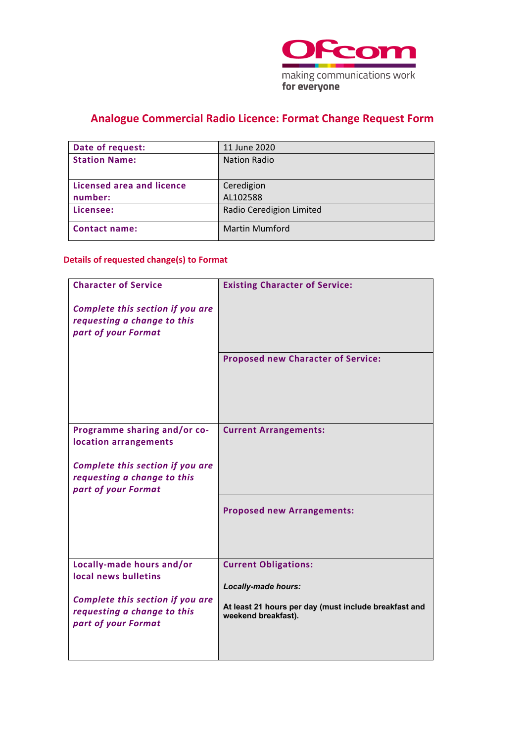

# **Analogue Commercial Radio Licence: Format Change Request Form**

| Date of request:                 | 11 June 2020             |
|----------------------------------|--------------------------|
| <b>Station Name:</b>             | <b>Nation Radio</b>      |
|                                  |                          |
| <b>Licensed area and licence</b> | Ceredigion               |
| number:                          | AL102588                 |
| Licensee:                        | Radio Ceredigion Limited |
| <b>Contact name:</b>             | <b>Martin Mumford</b>    |

### **Details of requested change(s) to Format**

| <b>Character of Service</b>                                     | <b>Existing Character of Service:</b>                                        |
|-----------------------------------------------------------------|------------------------------------------------------------------------------|
| Complete this section if you are                                |                                                                              |
| requesting a change to this<br>part of your Format              |                                                                              |
|                                                                 |                                                                              |
|                                                                 | <b>Proposed new Character of Service:</b>                                    |
|                                                                 |                                                                              |
|                                                                 |                                                                              |
|                                                                 |                                                                              |
| Programme sharing and/or co-                                    | <b>Current Arrangements:</b>                                                 |
| location arrangements                                           |                                                                              |
| Complete this section if you are<br>requesting a change to this |                                                                              |
| part of your Format                                             |                                                                              |
|                                                                 | <b>Proposed new Arrangements:</b>                                            |
|                                                                 |                                                                              |
|                                                                 |                                                                              |
| Locally-made hours and/or                                       | <b>Current Obligations:</b>                                                  |
| local news bulletins                                            |                                                                              |
| Complete this section if you are                                | Locally-made hours:                                                          |
| requesting a change to this                                     | At least 21 hours per day (must include breakfast and<br>weekend breakfast). |
| part of your Format                                             |                                                                              |
|                                                                 |                                                                              |
|                                                                 |                                                                              |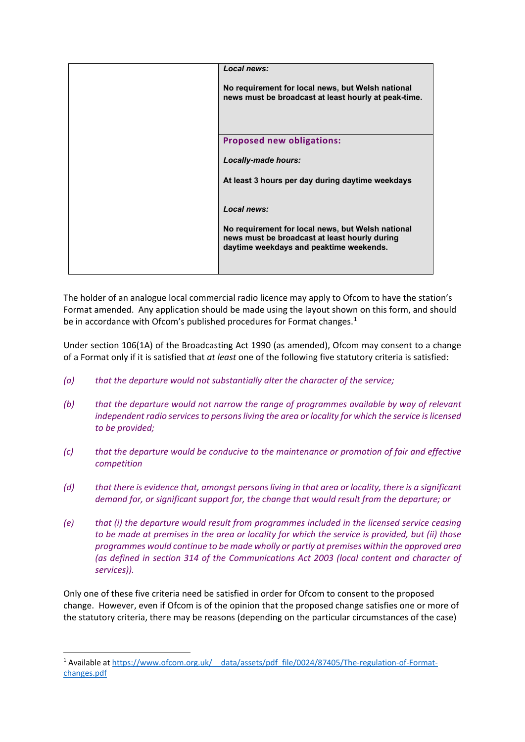| Local news:                                                                                                                                   |
|-----------------------------------------------------------------------------------------------------------------------------------------------|
| No requirement for local news, but Welsh national<br>news must be broadcast at least hourly at peak-time.                                     |
| <b>Proposed new obligations:</b>                                                                                                              |
| Locally-made hours:                                                                                                                           |
| At least 3 hours per day during daytime weekdays                                                                                              |
| Local news:                                                                                                                                   |
| No requirement for local news, but Welsh national<br>news must be broadcast at least hourly during<br>daytime weekdays and peaktime weekends. |
|                                                                                                                                               |

The holder of an analogue local commercial radio licence may apply to Ofcom to have the station's Format amended. Any application should be made using the layout shown on this form, and should be in accordance with Ofcom's published procedures for Format changes.<sup>[1](#page-1-0)</sup>

Under section 106(1A) of the Broadcasting Act 1990 (as amended), Ofcom may consent to a change of a Format only if it is satisfied that *at least* one of the following five statutory criteria is satisfied:

- *(a) that the departure would not substantially alter the character of the service;*
- *(b) that the departure would not narrow the range of programmes available by way of relevant independent radio services to persons living the area or locality for which the service is licensed to be provided;*
- *(c) that the departure would be conducive to the maintenance or promotion of fair and effective competition*
- *(d) that there is evidence that, amongst persons living in that area or locality, there is a significant demand for, or significant support for, the change that would result from the departure; or*
- *(e) that (i) the departure would result from programmes included in the licensed service ceasing to be made at premises in the area or locality for which the service is provided, but (ii) those programmes would continue to be made wholly or partly at premises within the approved area (as defined in section 314 of the Communications Act 2003 (local content and character of services)).*

Only one of these five criteria need be satisfied in order for Ofcom to consent to the proposed change. However, even if Ofcom is of the opinion that the proposed change satisfies one or more of the statutory criteria, there may be reasons (depending on the particular circumstances of the case)

<span id="page-1-0"></span><sup>&</sup>lt;sup>1</sup> Available at https://www.ofcom.org.uk/ data/assets/pdf file/0024/87405/The-regulation-of-Format[changes.pdf](https://www.ofcom.org.uk/__data/assets/pdf_file/0024/87405/The-regulation-of-Format-changes.pdf)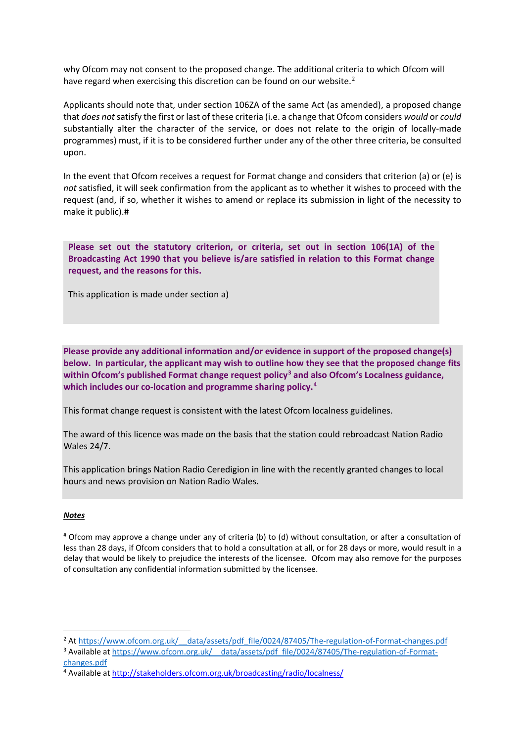why Ofcom may not consent to the proposed change. The additional criteria to which Ofcom will have regard when exercising this discretion can be found on our website.<sup>[2](#page-2-0)</sup>

Applicants should note that, under section 106ZA of the same Act (as amended), a proposed change that *does not*satisfy the first or last of these criteria (i.e. a change that Ofcom considers *would* or *could* substantially alter the character of the service, or does not relate to the origin of locally-made programmes) must, if it is to be considered further under any of the other three criteria, be consulted upon.

In the event that Ofcom receives a request for Format change and considers that criterion (a) or (e) is *not* satisfied, it will seek confirmation from the applicant as to whether it wishes to proceed with the request (and, if so, whether it wishes to amend or replace its submission in light of the necessity to make it public).#

**Please set out the statutory criterion, or criteria, set out in section 106(1A) of the Broadcasting Act 1990 that you believe is/are satisfied in relation to this Format change request, and the reasons for this.** 

This application is made under section a)

**Please provide any additional information and/or evidence in support of the proposed change(s) below. In particular, the applicant may wish to outline how they see that the proposed change fits within Ofcom's published Format change request policy[3](#page-2-1) and also Ofcom's Localness guidance, which includes our co-location and programme sharing policy. [4](#page-2-2)** 

This format change request is consistent with the latest Ofcom localness guidelines.

The award of this licence was made on the basis that the station could rebroadcast Nation Radio Wales 24/7.

This application brings Nation Radio Ceredigion in line with the recently granted changes to local hours and news provision on Nation Radio Wales.

#### *Notes*

# Ofcom may approve a change under any of criteria (b) to (d) without consultation, or after a consultation of less than 28 days, if Ofcom considers that to hold a consultation at all, or for 28 days or more, would result in a delay that would be likely to prejudice the interests of the licensee. Ofcom may also remove for the purposes of consultation any confidential information submitted by the licensee.

<span id="page-2-0"></span><sup>&</sup>lt;sup>2</sup> At https://www.ofcom.org.uk/ data/assets/pdf file/0024/87405/The-regulation-of-Format-changes.pdf

<span id="page-2-1"></span><sup>&</sup>lt;sup>3</sup> Available at https://www.ofcom.org.uk/ data/assets/pdf\_file/0024/87405/The-regulation-of-Format[changes.pdf](https://www.ofcom.org.uk/__data/assets/pdf_file/0024/87405/The-regulation-of-Format-changes.pdf) 4 Available a[t http://stakeholders.ofcom.org.uk/broadcasting/radio/localness/](http://stakeholders.ofcom.org.uk/broadcasting/radio/localness/)

<span id="page-2-2"></span>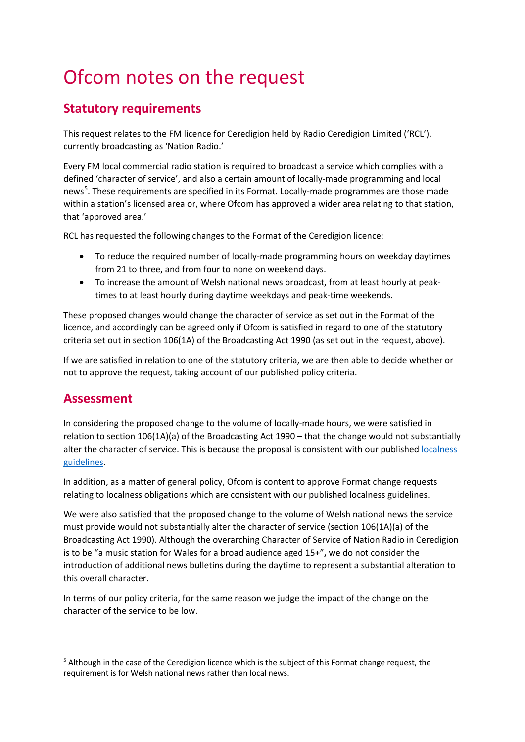# Ofcom notes on the request

# **Statutory requirements**

This request relates to the FM licence for Ceredigion held by Radio Ceredigion Limited ('RCL'), currently broadcasting as 'Nation Radio.'

Every FM local commercial radio station is required to broadcast a service which complies with a defined 'character of service', and also a certain amount of locally-made programming and local news<sup>[5](#page-3-0)</sup>. These requirements are specified in its Format. Locally-made programmes are those made within a station's licensed area or, where Ofcom has approved a wider area relating to that station, that 'approved area.'

RCL has requested the following changes to the Format of the Ceredigion licence:

- To reduce the required number of locally-made programming hours on weekday daytimes from 21 to three, and from four to none on weekend days.
- To increase the amount of Welsh national news broadcast, from at least hourly at peaktimes to at least hourly during daytime weekdays and peak-time weekends.

These proposed changes would change the character of service as set out in the Format of the licence, and accordingly can be agreed only if Ofcom is satisfied in regard to one of the statutory criteria set out in section 106(1A) of the Broadcasting Act 1990 (as set out in the request, above).

If we are satisfied in relation to one of the statutory criteria, we are then able to decide whether or not to approve the request, taking account of our published policy criteria.

### **Assessment**

In considering the proposed change to the volume of locally-made hours, we were satisfied in relation to section 106(1A)(a) of the Broadcasting Act 1990 – that the change would not substantially alter the character of service. This is because the proposal is consistent with our published [localness](https://www.ofcom.org.uk/tv-radio-and-on-demand/information-for-industry/radio-broadcasters/localness)  [guidelines.](https://www.ofcom.org.uk/tv-radio-and-on-demand/information-for-industry/radio-broadcasters/localness)

In addition, as a matter of general policy, Ofcom is content to approve Format change requests relating to localness obligations which are consistent with our published localness guidelines.

We were also satisfied that the proposed change to the volume of Welsh national news the service must provide would not substantially alter the character of service (section 106(1A)(a) of the Broadcasting Act 1990). Although the overarching Character of Service of Nation Radio in Ceredigion is to be "a music station for Wales for a broad audience aged 15+"**,** we do not consider the introduction of additional news bulletins during the daytime to represent a substantial alteration to this overall character.

In terms of our policy criteria, for the same reason we judge the impact of the change on the character of the service to be low.

<span id="page-3-0"></span><sup>5</sup> Although in the case of the Ceredigion licence which is the subject of this Format change request, the requirement is for Welsh national news rather than local news.